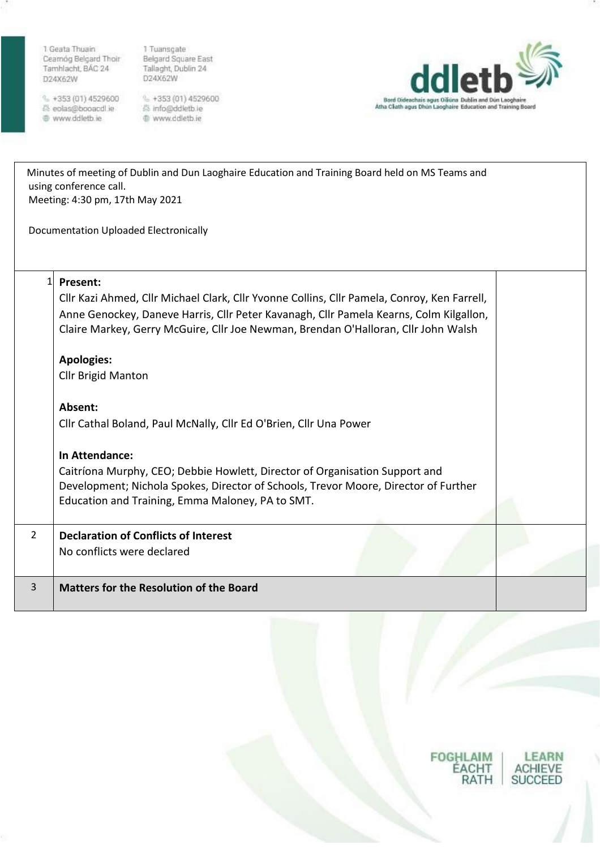1 Geata Thuain Cearnóg Belgard Thoir Tamhlacht, BÁC 24 D24X62W

 $- +353(01)4529600$ care control de la control<br>care de la control de la control de la control de la control de la control de la control de la control de la c

1 Tuansgate<br>Belgard Square East<br>Tallaght, Dublin 24<br>D24X62W

€ +353 (01) 4529600<br>₿ info@ddletb.ie @ www.ddletb.ie



|                | Minutes of meeting of Dublin and Dun Laoghaire Education and Training Board held on MS Teams and<br>using conference call.<br>Meeting: 4:30 pm, 17th May 2021<br><b>Documentation Uploaded Electronically</b> |  |  |  |  |  |
|----------------|---------------------------------------------------------------------------------------------------------------------------------------------------------------------------------------------------------------|--|--|--|--|--|
|                |                                                                                                                                                                                                               |  |  |  |  |  |
| 1              | Present:                                                                                                                                                                                                      |  |  |  |  |  |
|                | Cllr Kazi Ahmed, Cllr Michael Clark, Cllr Yvonne Collins, Cllr Pamela, Conroy, Ken Farrell,                                                                                                                   |  |  |  |  |  |
|                | Anne Genockey, Daneve Harris, Cllr Peter Kavanagh, Cllr Pamela Kearns, Colm Kilgallon,<br>Claire Markey, Gerry McGuire, Cllr Joe Newman, Brendan O'Halloran, Cllr John Walsh                                  |  |  |  |  |  |
|                | <b>Apologies:</b>                                                                                                                                                                                             |  |  |  |  |  |
|                | <b>Cllr Brigid Manton</b>                                                                                                                                                                                     |  |  |  |  |  |
|                | Absent:                                                                                                                                                                                                       |  |  |  |  |  |
|                | Cllr Cathal Boland, Paul McNally, Cllr Ed O'Brien, Cllr Una Power                                                                                                                                             |  |  |  |  |  |
|                | In Attendance:                                                                                                                                                                                                |  |  |  |  |  |
|                | Caitríona Murphy, CEO; Debbie Howlett, Director of Organisation Support and                                                                                                                                   |  |  |  |  |  |
|                | Development; Nichola Spokes, Director of Schools, Trevor Moore, Director of Further                                                                                                                           |  |  |  |  |  |
|                | Education and Training, Emma Maloney, PA to SMT.                                                                                                                                                              |  |  |  |  |  |
| $\overline{2}$ | <b>Declaration of Conflicts of Interest</b>                                                                                                                                                                   |  |  |  |  |  |
|                | No conflicts were declared                                                                                                                                                                                    |  |  |  |  |  |
|                |                                                                                                                                                                                                               |  |  |  |  |  |
| 3              | <b>Matters for the Resolution of the Board</b>                                                                                                                                                                |  |  |  |  |  |

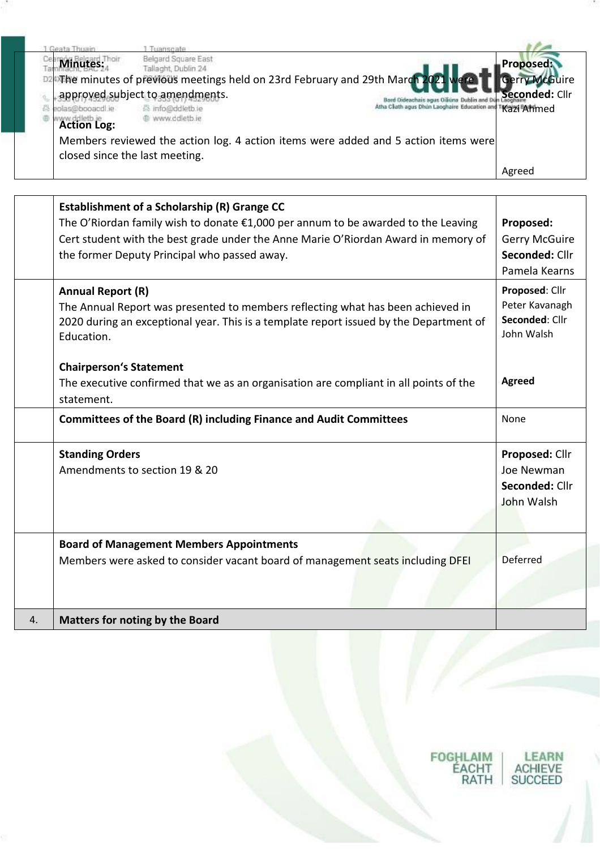| Jesta Thuain                           | uanscate                                                                                                                         |                                                                                                           |                                   |
|----------------------------------------|----------------------------------------------------------------------------------------------------------------------------------|-----------------------------------------------------------------------------------------------------------|-----------------------------------|
| <b>Minutes:</b>                        | Belgard Square East<br>Tallaght, Dublin 24<br>D2 The minutes of previous meetings held on 23rd February and 29th March 2021 were |                                                                                                           | Proposed:<br><b>Gerry McGuire</b> |
| eolas@booacdl.ie<br><b>Action Log:</b> | approved subject to amendments.<br>员 info@ddletb.ie<br>@ www.ddletb.ie                                                           | Bord Oideachais agus Oiliúna Dublin and Dún<br>Atha Cliath agus Dhùn Laoghaire Education and TKazi FAhmed | Seconded: Cllr                    |
| closed since the last meeting.         | Members reviewed the action log. 4 action items were added and 5 action items were                                               |                                                                                                           |                                   |
|                                        |                                                                                                                                  |                                                                                                           | Agreed                            |

|    | Establishment of a Scholarship (R) Grange CC<br>The O'Riordan family wish to donate €1,000 per annum to be awarded to the Leaving<br>Cert student with the best grade under the Anne Marie O'Riordan Award in memory of<br>the former Deputy Principal who passed away. | Proposed:<br><b>Gerry McGuire</b><br>Seconded: Cllr<br>Pamela Kearns |
|----|-------------------------------------------------------------------------------------------------------------------------------------------------------------------------------------------------------------------------------------------------------------------------|----------------------------------------------------------------------|
|    | <b>Annual Report (R)</b><br>The Annual Report was presented to members reflecting what has been achieved in<br>2020 during an exceptional year. This is a template report issued by the Department of<br>Education.                                                     | Proposed: Cllr<br>Peter Kavanagh<br>Seconded: Cllr<br>John Walsh     |
|    | <b>Chairperson's Statement</b><br>The executive confirmed that we as an organisation are compliant in all points of the<br>statement.                                                                                                                                   | Agreed                                                               |
|    | Committees of the Board (R) including Finance and Audit Committees                                                                                                                                                                                                      | None                                                                 |
|    | <b>Standing Orders</b><br>Amendments to section 19 & 20                                                                                                                                                                                                                 | Proposed: Cllr<br>Joe Newman<br>Seconded: Cllr<br>John Walsh         |
|    | <b>Board of Management Members Appointments</b><br>Members were asked to consider vacant board of management seats including DFEI                                                                                                                                       | <b>Deferred</b>                                                      |
| 4. | <b>Matters for noting by the Board</b>                                                                                                                                                                                                                                  |                                                                      |

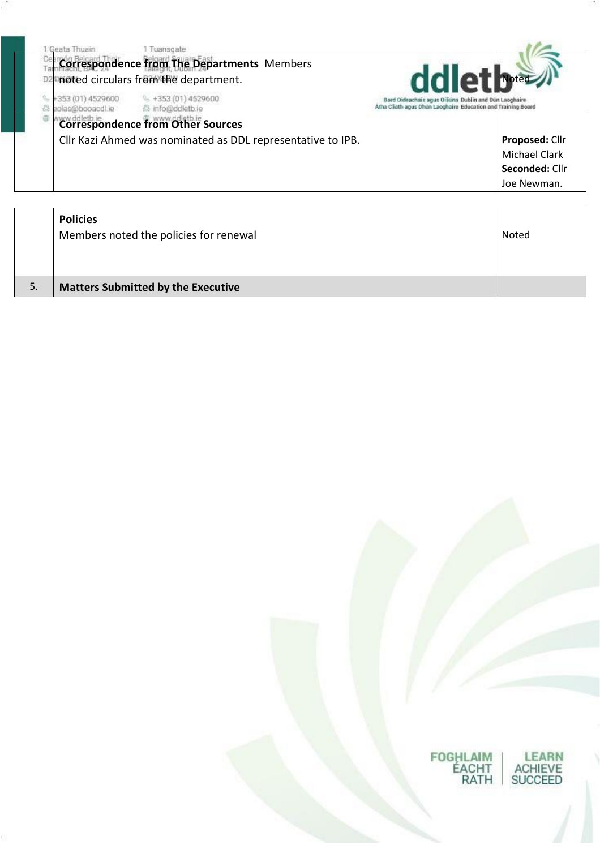| Geata Thuain                          |                                                                                            |                                                                                                                       |
|---------------------------------------|--------------------------------------------------------------------------------------------|-----------------------------------------------------------------------------------------------------------------------|
|                                       | <b>Correspondence from The Departments Members</b><br>noted circulars from the department. | ddlet breed                                                                                                           |
| +353 (01) 4529600<br>ei lboeood@ealor | $\frac{1}{2}$ +353 (01) 4529600<br>info@ddletb.ie                                          | Bord Oideachais agus Oiliúna Dublin and Dún Laoghaire<br>Atha Cliath agus Dhún Laoghaire Education and Training Board |
|                                       | <b>Correspondence from Other Sources</b>                                                   |                                                                                                                       |
|                                       | Cllr Kazi Ahmed was nominated as DDL representative to IPB.                                | Proposed: Cllr                                                                                                        |
|                                       |                                                                                            | <b>Michael Clark</b>                                                                                                  |
|                                       |                                                                                            | Seconded: Cllr                                                                                                        |
|                                       |                                                                                            | Joe Newman.                                                                                                           |
| <b>Policies</b>                       |                                                                                            |                                                                                                                       |
|                                       | Members noted the policies for renewal                                                     | Noted                                                                                                                 |

FOGHLAIM<br>ÉACHT<br>RATH

LEARN<br>ACHIEVE<br>SUCCEED

5. **Matters Submitted by the Executive**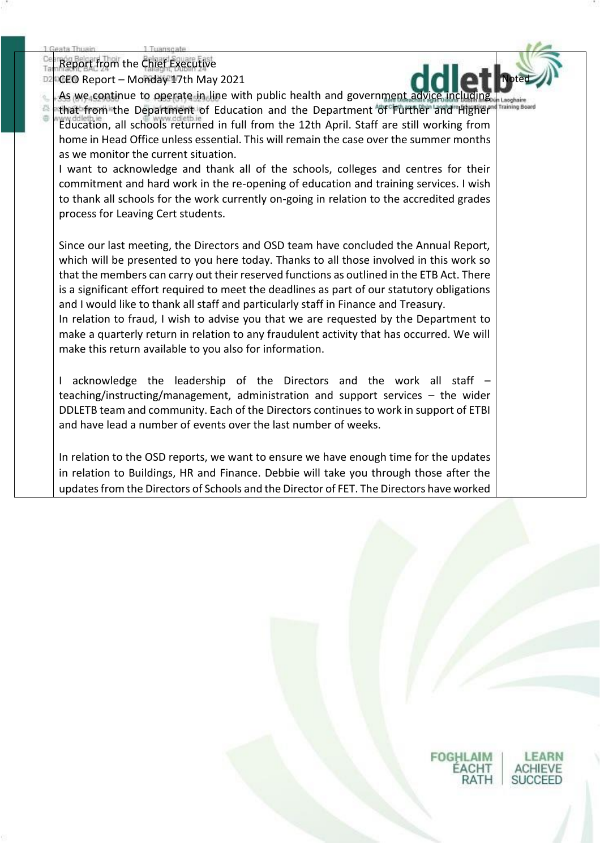ä

岩 通

Report from the Chief Executive

CEO Report – Monday 17th May 2021 D2



**Training Bo** 

As we continue to operate in line with public health and government advice including that from the Department of Education and the Department of Further and Higher Education, all schools returned in full from the 12th April. Staff are still working from home in Head Office unless essential. This will remain the case over the summer months as we monitor the current situation.

I want to acknowledge and thank all of the schools, colleges and centres for their commitment and hard work in the re-opening of education and training services. I wish to thank all schools for the work currently on-going in relation to the accredited grades process for Leaving Cert students.

Since our last meeting, the Directors and OSD team have concluded the Annual Report, which will be presented to you here today. Thanks to all those involved in this work so that the members can carry out their reserved functions as outlined in the ETB Act. There is a significant effort required to meet the deadlines as part of our statutory obligations and I would like to thank all staff and particularly staff in Finance and Treasury.

In relation to fraud, I wish to advise you that we are requested by the Department to make a quarterly return in relation to any fraudulent activity that has occurred. We will make this return available to you also for information.

I acknowledge the leadership of the Directors and the work all staff – teaching/instructing/management, administration and support services – the wider DDLETB team and community. Each of the Directors continues to work in support of ETBI and have lead a number of events over the last number of weeks.

In relation to the OSD reports, we want to ensure we have enough time for the updates in relation to Buildings, HR and Finance. Debbie will take you through those after the updates from the Directors of Schools and the Director of FET. The Directors have worked

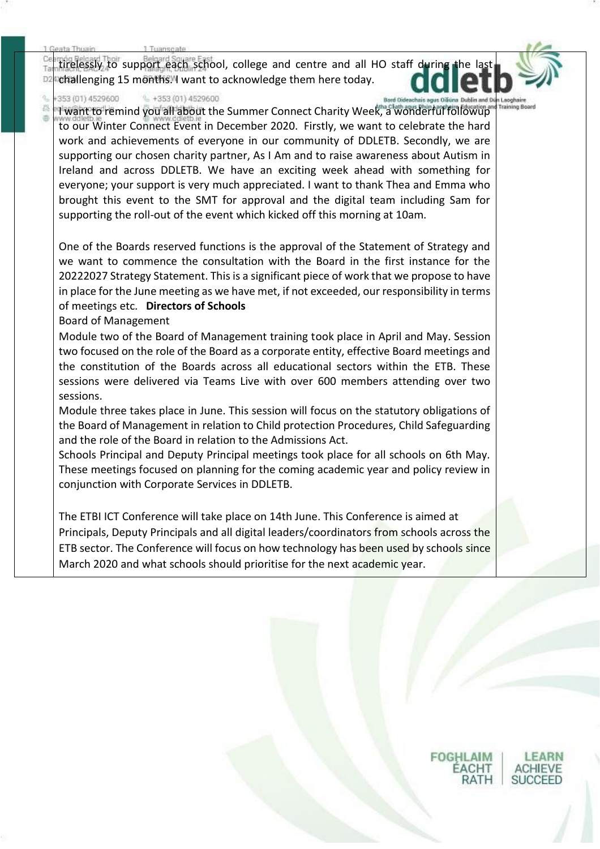tirelessly to support each school, college and centre and all HO staff during DŻ challenging 15 months. I want to acknowledge them here today.



**Training Bo** 

岩 通

#### 353 (01) 4529600  $+353(01)4529600$

I want to remind you all about the Summer Connect Charity Week, a wonderful followup to our Winter Connect Event in December 2020.  Firstly, we want to celebrate the hard work and achievements of everyone in our community of DDLETB. Secondly, we are supporting our chosen charity partner, As I Am and to raise awareness about Autism in Ireland and across DDLETB. We have an exciting week ahead with something for everyone; your support is very much appreciated. I want to thank Thea and Emma who brought this event to the SMT for approval and the digital team including Sam for supporting the roll-out of the event which kicked off this morning at 10am.

One of the Boards reserved functions is the approval of the Statement of Strategy and we want to commence the consultation with the Board in the first instance for the 20222027 Strategy Statement. This is a significant piece of work that we propose to have in place for the June meeting as we have met, if not exceeded, our responsibility in terms of meetings etc. **Directors of Schools**

Board of Management

Module two of the Board of Management training took place in April and May. Session two focused on the role of the Board as a corporate entity, effective Board meetings and the constitution of the Boards across all educational sectors within the ETB. These sessions were delivered via Teams Live with over 600 members attending over two sessions.

Module three takes place in June. This session will focus on the statutory obligations of the Board of Management in relation to Child protection Procedures, Child Safeguarding and the role of the Board in relation to the Admissions Act.

Schools Principal and Deputy Principal meetings took place for all schools on 6th May. These meetings focused on planning for the coming academic year and policy review in conjunction with Corporate Services in DDLETB.

The ETBI ICT Conference will take place on 14th June. This Conference is aimed at Principals, Deputy Principals and all digital leaders/coordinators from schools across the ETB sector. The Conference will focus on how technology has been used by schools since March 2020 and what schools should prioritise for the next academic year.

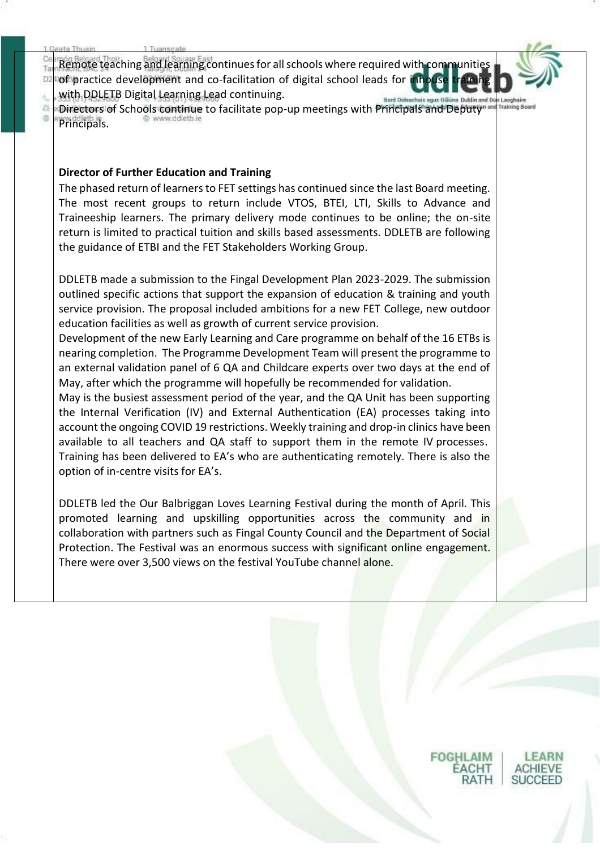Remote teaching and learning continues for all schools where required with com T) of practice development and co-facilitation of digital school leads for D. with DDLETB Digital Learning Lead continuing.

ä Lacahair **Training Boa** 着 Directors of Schools continue to facilitate pop-up meetings with Principals and Deputy® 冶 Principals.

#### **Director of Further Education and Training**

The phased return of learners to FET settings has continued since the last Board meeting. The most recent groups to return include VTOS, BTEI, LTI, Skills to Advance and Traineeship learners. The primary delivery mode continues to be online; the on-site return is limited to practical tuition and skills based assessments. DDLETB are following the guidance of ETBI and the FET Stakeholders Working Group.

DDLETB made a submission to the Fingal Development Plan 2023-2029. The submission outlined specific actions that support the expansion of education & training and youth service provision. The proposal included ambitions for a new FET College, new outdoor education facilities as well as growth of current service provision.

Development of the new Early Learning and Care programme on behalf of the 16 ETBs is nearing completion.  The Programme Development Team will present the programme to an external validation panel of 6 QA and Childcare experts over two days at the end of May, after which the programme will hopefully be recommended for validation.

May is the busiest assessment period of the year, and the QA Unit has been supporting the Internal Verification (IV) and External Authentication (EA) processes taking into account the ongoing COVID 19 restrictions. Weekly training and drop-in clinics have been available to all teachers and QA staff to support them in the remote IV processes.  Training has been delivered to EA's who are authenticating remotely. There is also the option of in-centre visits for EA's.

DDLETB led the Our Balbriggan Loves Learning Festival during the month of April. This promoted learning and upskilling opportunities across the community and in collaboration with partners such as Fingal County Council and the Department of Social Protection. The Festival was an enormous success with significant online engagement. There were over 3,500 views on the festival YouTube channel alone. 

ACHT

RATH

ACHIEVE

SUCCEED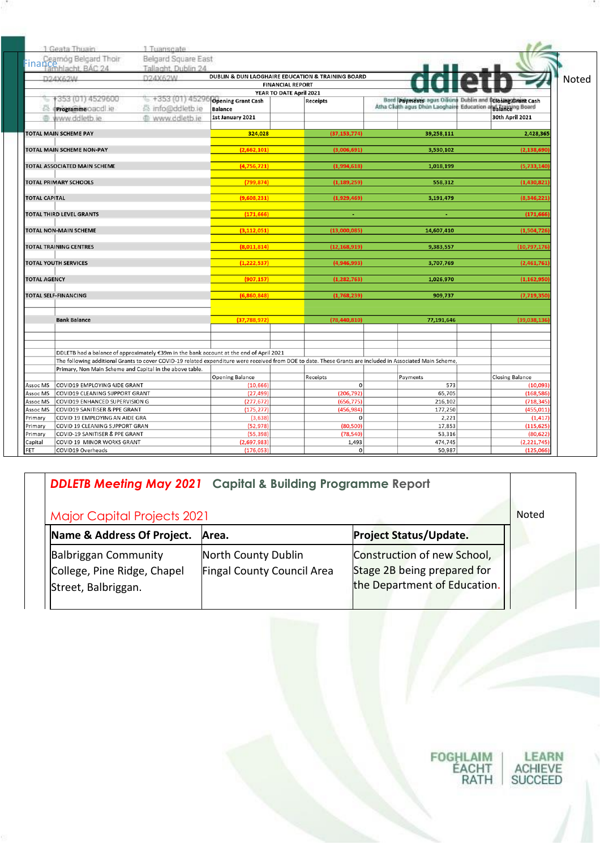|                               | 1 Geata Thuain                                                 | 1 Tuanscate                                                                             |                                                                  |                         |                         |                                                                                                                                                            |                                                               |  |
|-------------------------------|----------------------------------------------------------------|-----------------------------------------------------------------------------------------|------------------------------------------------------------------|-------------------------|-------------------------|------------------------------------------------------------------------------------------------------------------------------------------------------------|---------------------------------------------------------------|--|
|                               | Cearnóg Belgard Thoir<br>Finance <sub>mhlacht, BÁC 24</sub>    | Belgard Square East<br>Tallaght, Dublin 24                                              |                                                                  |                         |                         |                                                                                                                                                            |                                                               |  |
|                               | D24X62W                                                        | D24X62W                                                                                 | <b>DUBLIN &amp; DUN LAOGHAIRE EDUCATION &amp; TRAINING BOARD</b> |                         |                         |                                                                                                                                                            |                                                               |  |
|                               |                                                                |                                                                                         |                                                                  | <b>FINANCIAL REPORT</b> |                         |                                                                                                                                                            |                                                               |  |
|                               |                                                                |                                                                                         |                                                                  | YEAR TO DATE April 2021 |                         |                                                                                                                                                            |                                                               |  |
|                               | -353 (01) 4529600                                              | $= +353(01)45290$ Opening Grant Cash                                                    |                                                                  |                         | Receipts                | Bord Payments agus Oiliúna Dublin and                                                                                                                      | <b>Closing Grant Cash</b>                                     |  |
| 春                             | Programme oand ie                                              | 员 info@ddletb.ie                                                                        | <b>Balance</b>                                                   |                         |                         |                                                                                                                                                            | Atha Clidth agus Dhún Laoghaire Education aigh Taniging Board |  |
| 遥                             | www.ddleth.ie                                                  | @ www.ddletb.je                                                                         | 1st January 2021                                                 |                         |                         |                                                                                                                                                            | 30th April 2021                                               |  |
| <b>TOTAL MAIN SCHEME PAY</b>  |                                                                |                                                                                         | 324,028                                                          |                         | (37, 153, 774)          | 39,258,111                                                                                                                                                 | 2,428,365                                                     |  |
|                               | TOTAL MAIN SCHEME NON-PAY                                      |                                                                                         | (2,662,101)                                                      |                         | (3,006,691)             | 3,530,102                                                                                                                                                  | (2, 138, 690)                                                 |  |
|                               | <b>TOTAL ASSOCIATED MAIN SCHEME</b>                            |                                                                                         | (4,756,721)                                                      |                         | (1,994,618)             | 1,018,199                                                                                                                                                  | (5.733.140)                                                   |  |
| <b>TOTAL PRIMARY SCHOOLS</b>  |                                                                |                                                                                         | (799, 874)                                                       |                         | (1, 189, 259)           | 558,312                                                                                                                                                    | (1, 430, 821)                                                 |  |
| <b>TOTAL CAPITAL</b>          |                                                                |                                                                                         | (9,608,231)                                                      |                         | (1,929,469)             | 3,191,479                                                                                                                                                  | (8,346,221)                                                   |  |
|                               | <b>TOTAL THIRD LEVEL GRANTS</b>                                |                                                                                         | (171, 666)                                                       |                         | ٠                       | ÷                                                                                                                                                          | (171, 666)                                                    |  |
|                               |                                                                |                                                                                         |                                                                  |                         |                         |                                                                                                                                                            |                                                               |  |
| <b>TOTAL NON-MAIN SCHEME</b>  |                                                                |                                                                                         | (3, 112, 051)                                                    |                         | (13,000,085)            | 14,607,410                                                                                                                                                 | (1,504,726                                                    |  |
| <b>TOTAL TRAINING CENTRES</b> |                                                                |                                                                                         | (8,011,814)                                                      |                         | (12, 168, 919)          | 9,383,557                                                                                                                                                  | (10,797,176)                                                  |  |
| <b>TOTAL YOUTH SERVICES</b>   |                                                                |                                                                                         | (1, 222, 537)                                                    |                         | (4,946,993)             | 3,707,769                                                                                                                                                  | (2,461,761)                                                   |  |
| <b>TOTAL AGENCY</b>           |                                                                |                                                                                         | (907, 157)                                                       |                         | (1, 282, 763)           | 1,026,970                                                                                                                                                  | (1, 162, 950)                                                 |  |
| <b>TOTAL SELF-FINANCING</b>   |                                                                |                                                                                         | (6,860,848)                                                      |                         | (1,768,239)             | 909,737                                                                                                                                                    | (7, 719, 350)                                                 |  |
|                               |                                                                |                                                                                         |                                                                  |                         |                         |                                                                                                                                                            |                                                               |  |
|                               | <b>Bank Balance</b>                                            |                                                                                         | (37,788,972)                                                     |                         | (78, 440, 810)          | 77,191,646                                                                                                                                                 | (39,038,136)                                                  |  |
|                               |                                                                |                                                                                         |                                                                  |                         |                         |                                                                                                                                                            |                                                               |  |
|                               |                                                                | DDLETB had a balance of approximately €39m in the bank account at the end of April 2021 |                                                                  |                         |                         |                                                                                                                                                            |                                                               |  |
|                               |                                                                |                                                                                         |                                                                  |                         |                         | The following additional Grants to cover COVID-19 related expenditure were received from DOE to date. These Grants are included in Associated Main Scheme, |                                                               |  |
|                               |                                                                | Primary, Non Main Scheme and Capital in the above table.                                |                                                                  |                         |                         |                                                                                                                                                            |                                                               |  |
|                               |                                                                |                                                                                         | <b>Opening Balance</b>                                           |                         | Receipts<br>$\mathbf 0$ | Payments<br>573                                                                                                                                            | <b>Closing Balance</b>                                        |  |
| Assoc MS<br>Assoc MS          | COVID19 EMPLOYING AIDE GRANT<br>COVID19 CLEANING SUPPORT GRANT |                                                                                         | (10, 666)<br>(27, 499)                                           |                         | (206, 792)              | 65,705                                                                                                                                                     | (10,093)<br>(168, 586)                                        |  |
| Assoc MS                      | COVID19 ENHANCED SUPERVISION G                                 |                                                                                         | (277, 672)                                                       |                         | (656, 775)              | 216,102                                                                                                                                                    | (718, 345)                                                    |  |
| Assoc MS                      | COVID19 SANITISER & PPE GRANT                                  |                                                                                         | (175, 277)                                                       |                         | (456, 984)              | 177,250                                                                                                                                                    | (455, 011)                                                    |  |
| Primary                       | COVID 19 EMPLOYING AN AIDE GRA                                 |                                                                                         | (3,638)                                                          |                         | $\mathbf{0}$            | 2,221                                                                                                                                                      | (1, 417)                                                      |  |
| Primary                       | COVID 19 CLEANING SUPPORT GRAN                                 |                                                                                         | (52, 978)                                                        |                         | (80, 500)               | 17,853                                                                                                                                                     | (115, 625)                                                    |  |
| Primary                       | COVID-19 SANITISER & PPE GRANT                                 |                                                                                         | (55, 398)                                                        |                         | (78, 540)               | 53,316                                                                                                                                                     | (80, 622)                                                     |  |
| Capital                       | COVID 19 MINOR WORKS GRANT                                     |                                                                                         | (2,697,983)                                                      |                         | 1,493                   | 474,745                                                                                                                                                    | (2, 221, 745)                                                 |  |
| FET                           | COVID19 Overheads                                              |                                                                                         | (176, 053)                                                       |                         | $\mathbf 0$             | 50,987                                                                                                                                                     | (125,066)                                                     |  |

### *DDLETB Meeting May 2021* **Capital & Building Programme Report**

## Major Capital Projects 2021 Noted Noted Noted Noted Noted Noted Noted Noted Noted Noted Noted Noted Noted Noted Noted Noted Noted Noted Noted Noted Noted Noted Noted Noted Noted Noted Noted Noted Noted Noted Noted Noted No

| Name & Address Of Project.  | Area.                      | <b>Project Status/Update.</b> |
|-----------------------------|----------------------------|-------------------------------|
| <b>Balbriggan Community</b> | North County Dublin        | Construction of new School,   |
| College, Pine Ridge, Chapel | Fingal County Council Area | Stage 2B being prepared for   |
| Street, Balbriggan.         |                            | the Department of Education.  |
|                             |                            |                               |

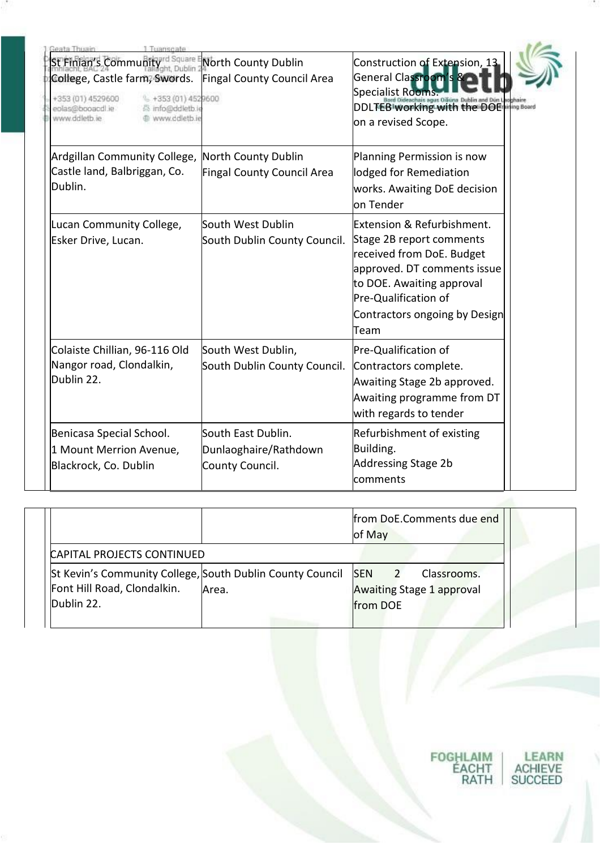| Gooto Thuget<br>l Issanc <i>h</i> at<br>St Finian's Community <sup>ard Square E</sup><br>College, Castle farm, Swords.<br>+353 (01) 4529600<br>$-1353(01)4529600$<br>eolas@booacdl.ie<br>员 info@ddletb.ie<br>www.ddletb.ie<br>www.ddletb.ie | North County Dublin<br>Fingal County Council Area              | Construction of Extension, 13<br>General Classroom's<br>Specialist Rooms<br>DDLTEB working with the DOE<br>on a revised Scope.                                                                                   |  |
|---------------------------------------------------------------------------------------------------------------------------------------------------------------------------------------------------------------------------------------------|----------------------------------------------------------------|------------------------------------------------------------------------------------------------------------------------------------------------------------------------------------------------------------------|--|
| Ardgillan Community College,<br>Castle land, Balbriggan, Co.<br>Dublin.                                                                                                                                                                     | North County Dublin<br>Fingal County Council Area              | Planning Permission is now<br>lodged for Remediation<br>works. Awaiting DoE decision<br><b>lo</b> n Tender                                                                                                       |  |
| Lucan Community College,<br>Esker Drive, Lucan.                                                                                                                                                                                             | South West Dublin<br>South Dublin County Council.              | Extension & Refurbishment.<br>Stage 2B report comments<br>received from DoE. Budget<br>approved. DT comments issue<br>to DOE. Awaiting approval<br>Pre-Qualification of<br>Contractors ongoing by Design<br>Team |  |
| Colaiste Chillian, 96-116 Old<br>Nangor road, Clondalkin,<br>Dublin 22.                                                                                                                                                                     | South West Dublin,<br>South Dublin County Council.             | Pre-Qualification of<br>Contractors complete.<br>Awaiting Stage 2b approved.<br>Awaiting programme from DT<br>with regards to tender                                                                             |  |
| Benicasa Special School.<br>1 Mount Merrion Avenue,<br>Blackrock, Co. Dublin                                                                                                                                                                | South East Dublin.<br>Dunlaoghaire/Rathdown<br>County Council. | Refurbishment of existing<br>Building.<br>Addressing Stage 2b<br>comments                                                                                                                                        |  |

|                                                                                          |       | of May     | from DoE.Comments due end                       |
|------------------------------------------------------------------------------------------|-------|------------|-------------------------------------------------|
| CAPITAL PROJECTS CONTINUED                                                               |       |            |                                                 |
| St Kevin's Community College, South Dublin County Council<br>Font Hill Road, Clondalkin. | Area. | <b>SEN</b> | Classrooms.<br><b>Awaiting Stage 1 approval</b> |
| Dublin 22.                                                                               |       | from DOE   |                                                 |

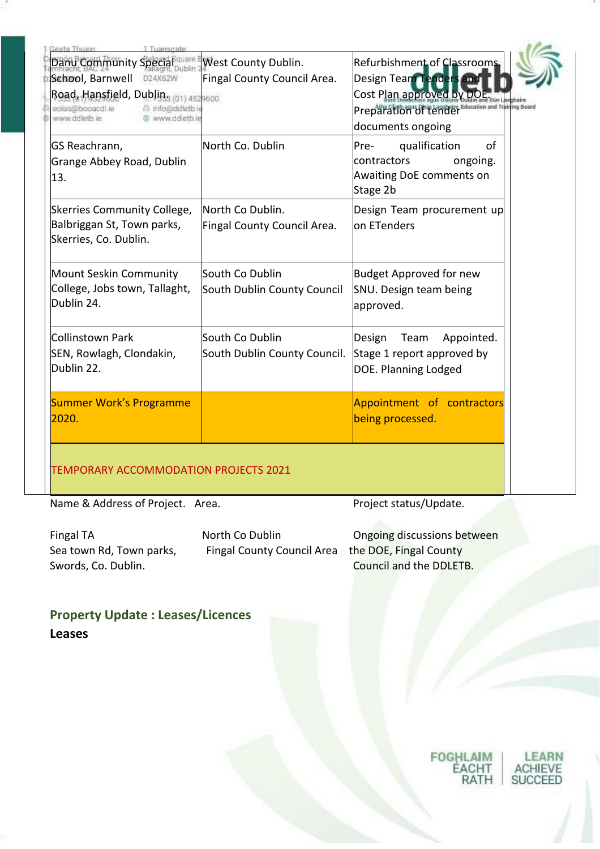| 1 Tuanscate<br>Jeata Thuain                                            |                              |                                     |
|------------------------------------------------------------------------|------------------------------|-------------------------------------|
| Danu Community Special                                                 | West County Dublin.          | Refurbishment of Classrooms         |
| School, Barnwell D24X62W                                               | Fingal County Council Area.  | Design Team Tenders                 |
| Road, Hansfield, Dublin <sub>3 (01)</sub> 4529600                      |                              | Cost Plan approved by D             |
| eolas@booacdl.ie<br>高 info@ddletb.ie<br>www.ddletb.ie<br>www.ddletb.ie |                              | Preparation of tender <sup>Et</sup> |
|                                                                        |                              | documents ongoing                   |
| GS Reachrann,                                                          | North Co. Dublin             | qualification<br>of<br>Pre-         |
| Grange Abbey Road, Dublin                                              |                              | contractors<br>ongoing.             |
| 13.                                                                    |                              | Awaiting DoE comments on            |
|                                                                        |                              | Stage 2b                            |
| Skerries Community College,                                            | North Co Dublin.             | Design Team procurement up          |
| Balbriggan St, Town parks,                                             | Fingal County Council Area.  | on ETenders                         |
| Skerries, Co. Dublin.                                                  |                              |                                     |
|                                                                        |                              |                                     |
| Mount Seskin Community                                                 | South Co Dublin              | <b>Budget Approved for new</b>      |
| College, Jobs town, Tallaght,                                          | South Dublin County Council  | SNU. Design team being              |
| Dublin 24.                                                             |                              | approved.                           |
| Collinstown Park                                                       | South Co Dublin              | Team                                |
|                                                                        |                              | Design<br>Appointed.                |
| SEN, Rowlagh, Clondakin,                                               | South Dublin County Council. | Stage 1 report approved by          |
| Dublin 22.                                                             |                              | DOE. Planning Lodged                |
| <b>Summer Work's Programme</b>                                         |                              | Appointment of contractors          |
| 2020.                                                                  |                              | being processed.                    |
|                                                                        |                              |                                     |
|                                                                        |                              |                                     |
|                                                                        |                              |                                     |
| TEMPORARY ACCOMMODATION PROJECTS 2021                                  |                              |                                     |

Name & Address of Project. Area. Project status/Update.

Fingal County Council Area

Fingal TA **North Co Dublin** Dongoing discussions between<br>Sea town Rd, Town parks, Fingal County Council Area the DOE, Fingal County Swords, Co. Dublin. The Council and the DDLETB.

**Property Update : Leases/Licences Leases**

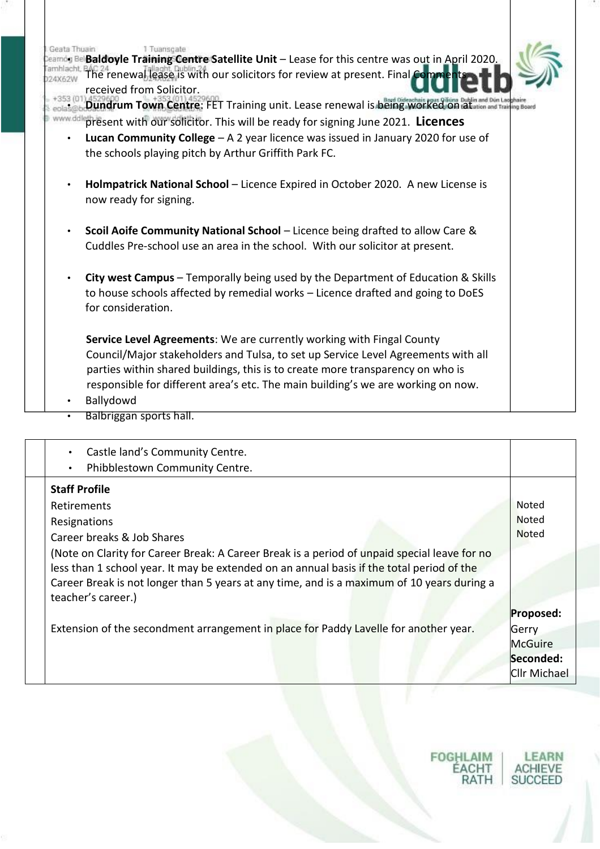| Seata: I huain<br>$\bullet$ | 1 Tuanscate<br>Baldoyle Training Centre Satellite Unit - Lease for this centre was out in April 2020.<br>BAC 24 enewal lease is with our solicitors for review at present. Final Comme<br>received from Solicitor.<br>Dundrum Town Centre: FET Training unit. Lease renewal is being. Worked on a Latin and Din Lag<br>ing Board<br>present with our solicitor. This will be ready for signing June 2021. Licences<br><b>Lucan Community College</b> $-$ A 2 year licence was issued in January 2020 for use of<br>the schools playing pitch by Arthur Griffith Park FC.<br>Holmpatrick National School - Licence Expired in October 2020. A new License is<br>now ready for signing.<br>Scoil Aoife Community National School - Licence being drafted to allow Care &<br>Cuddles Pre-school use an area in the school. With our solicitor at present. |
|-----------------------------|--------------------------------------------------------------------------------------------------------------------------------------------------------------------------------------------------------------------------------------------------------------------------------------------------------------------------------------------------------------------------------------------------------------------------------------------------------------------------------------------------------------------------------------------------------------------------------------------------------------------------------------------------------------------------------------------------------------------------------------------------------------------------------------------------------------------------------------------------------|
|                             | <b>City west Campus</b> – Temporally being used by the Department of Education & Skills<br>to house schools affected by remedial works - Licence drafted and going to DoES<br>for consideration.                                                                                                                                                                                                                                                                                                                                                                                                                                                                                                                                                                                                                                                       |
|                             | Service Level Agreements: We are currently working with Fingal County<br>Council/Major stakeholders and Tulsa, to set up Service Level Agreements with all<br>parties within shared buildings, this is to create more transparency on who is<br>responsible for different area's etc. The main building's we are working on now.<br>Ballydowd<br>Balbriggan sports hall.                                                                                                                                                                                                                                                                                                                                                                                                                                                                               |

| Castle land's Community Centre.<br>Phibblestown Community Centre.                                                                                                                                                                                                                                             |                     |
|---------------------------------------------------------------------------------------------------------------------------------------------------------------------------------------------------------------------------------------------------------------------------------------------------------------|---------------------|
| <b>Staff Profile</b>                                                                                                                                                                                                                                                                                          |                     |
| Retirements                                                                                                                                                                                                                                                                                                   | Noted               |
| Resignations                                                                                                                                                                                                                                                                                                  | <b>Noted</b>        |
| Career breaks & Job Shares                                                                                                                                                                                                                                                                                    | <b>Noted</b>        |
| (Note on Clarity for Career Break: A Career Break is a period of unpaid special leave for no<br>less than 1 school year. It may be extended on an annual basis if the total period of the<br>Career Break is not longer than 5 years at any time, and is a maximum of 10 years during a<br>teacher's career.) |                     |
|                                                                                                                                                                                                                                                                                                               | Proposed:           |
| Extension of the secondment arrangement in place for Paddy Lavelle for another year.                                                                                                                                                                                                                          | Gerry               |
|                                                                                                                                                                                                                                                                                                               | <b>McGuire</b>      |
|                                                                                                                                                                                                                                                                                                               | Seconded:           |
|                                                                                                                                                                                                                                                                                                               | <b>Cllr Michael</b> |

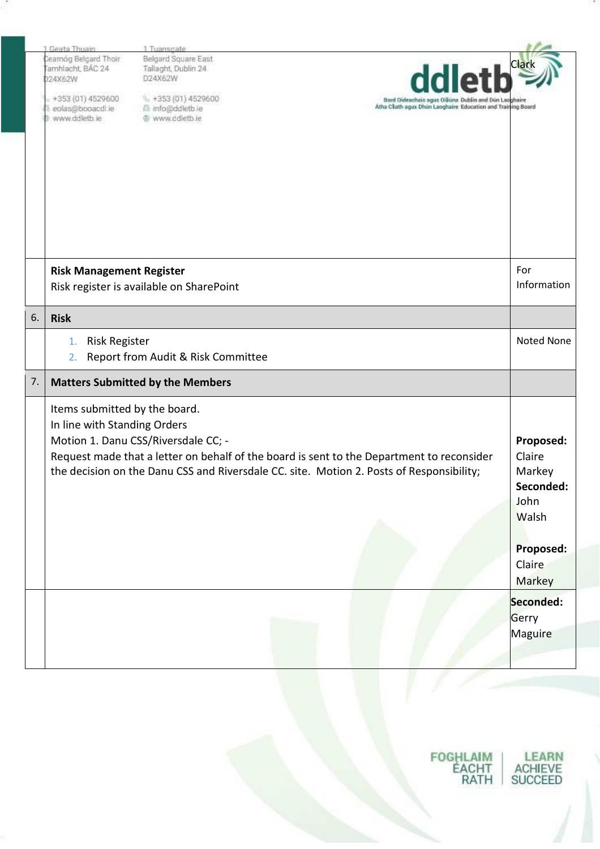|    | 1 Geata Thuain                                                | 1 Tuanscate                                                                                                                                                                                                                  |                                                                          |
|----|---------------------------------------------------------------|------------------------------------------------------------------------------------------------------------------------------------------------------------------------------------------------------------------------------|--------------------------------------------------------------------------|
|    | Cearnóg Belgard Thoir<br>Tamhlacht, BÁC 24<br>024X62W         | Belgard Square East<br>Tallaght, Dublin 24<br>D24X62W                                                                                                                                                                        | Clar                                                                     |
|    | $+353(01)$ 4529600<br>eolas@booacdl.ie<br>www.ddletb.ie       | $\frac{1}{2}$ +353 (01) 4529600<br>Bord Oideachais agus Oiliúna Dublin and Dún Lao<br>Atha Cliath agus Dhún Laoghaire Education and Training Board<br>高 info@ddletb.ie<br>@ www.ddletb.ie                                    |                                                                          |
|    |                                                               |                                                                                                                                                                                                                              |                                                                          |
|    | <b>Risk Management Register</b>                               | Risk register is available on SharePoint                                                                                                                                                                                     | For<br>Information                                                       |
| 6. | <b>Risk</b>                                                   |                                                                                                                                                                                                                              |                                                                          |
|    | <b>Risk Register</b><br>1.<br>2.                              | Report from Audit & Risk Committee                                                                                                                                                                                           | <b>Noted None</b>                                                        |
| 7. |                                                               | <b>Matters Submitted by the Members</b>                                                                                                                                                                                      |                                                                          |
|    | Items submitted by the board.<br>In line with Standing Orders | Motion 1. Danu CSS/Riversdale CC; -<br>Request made that a letter on behalf of the board is sent to the Department to reconsider<br>the decision on the Danu CSS and Riversdale CC. site. Motion 2. Posts of Responsibility; | Proposed:<br>Claire<br>Markey<br>Seconded:<br>John<br>Walsh<br>Proposed: |
|    |                                                               |                                                                                                                                                                                                                              | Claire<br><b>Markey</b>                                                  |
|    |                                                               |                                                                                                                                                                                                                              | Seconded:<br>Gerry                                                       |
|    |                                                               |                                                                                                                                                                                                                              | Maguire                                                                  |
|    |                                                               |                                                                                                                                                                                                                              |                                                                          |

FOGHLAIM<br>ÉACHT<br>RATH LEARN<br>ACHIEVE<br>SUCCEED

w